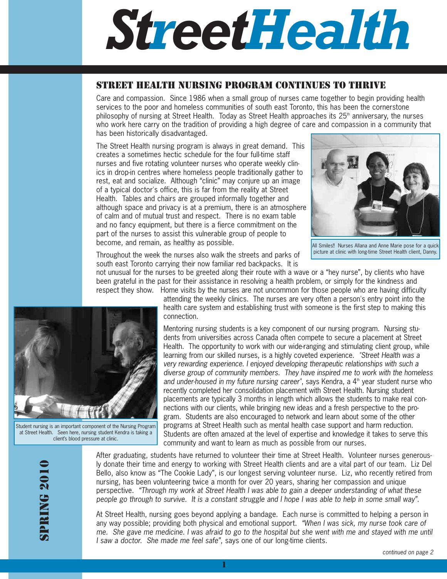# *StreetHealth*

## STREET HEALTH NURSING PROGRAM CONTINUES TO THRIVE

Care and compassion. Since 1986 when a small group of nurses came together to begin providing health services to the poor and homeless communities of south east Toronto, this has been the cornerstone philosophy of nursing at Street Health. Today as Street Health approaches its  $25<sup>th</sup>$  anniversary, the nurses who work here carry on the tradition of providing a high degree of care and compassion in a community that has been historically disadvantaged.

The Street Health nursing program is always in great demand. This creates a sometimes hectic schedule for the four full-time staff nurses and five rotating volunteer nurses who operate weekly clinics in drop-in centres where homeless people traditionally gather to rest, eat and socialize. Although "clinic" may conjure up an image of a typical doctor's office, this is far from the reality at Street Health. Tables and chairs are grouped informally together and although space and privacy is at a premium, there is an atmosphere of calm and of mutual trust and respect. There is no exam table and no fancy equipment, but there is a fierce commitment on the part of the nurses to assist this vulnerable group of people to become, and remain, as healthy as possible.



All Smiles!! Nurses Allana and Anne Marie pose for a quick picture at clinic with long-time Street Health client, Danny.

Throughout the week the nurses also walk the streets and parks of south east Toronto carrying their now familiar red backpacks. It is

not unusual for the nurses to be greeted along their route with a wave or a "hey nurse", by clients who have been grateful in the past for their assistance in resolving a health problem, or simply for the kindness and respect they show. Home visits by the nurses are not uncommon for those people who are having difficulty

attending the weekly clinics. The nurses are very often a person's entry point into the health care system and establishing trust with someone is the first step to making this connection.

Mentoring nursing students is a key component of our nursing program. Nursing students from universities across Canada often compete to secure a placement at Street Health. The opportunity to work with our wide-ranging and stimulating client group, while learning from our skilled nurses, is a highly coveted experience. "Street Health was a very rewarding experience. I enjoyed developing therapeutic relationships with such a diverse group of community members. They have inspired me to work with the homeless and under-housed in my future nursing career", says Kendra, a  $4<sup>th</sup>$  year student nurse who recently completed her consolidation placement with Street Health. Nursing student placements are typically 3 months in length which allows the students to make real connections with our clients, while bringing new ideas and a fresh perspective to the program. Students are also encouraged to network and learn about some of the other programs at Street Health such as mental health case support and harm reduction. Students are often amazed at the level of expertise and knowledge it takes to serve this community and want to learn as much as possible from our nurses.

SPRING 2010 **SPRING 2010** 



Student nursing is an important component of the Nursing Program at Street Health. Seen here, nursing student Kendra is taking a client's blood pressure at clinic.

After graduating, students have returned to volunteer their time at Street Health. Volunteer nurses generously donate their time and energy to working with Street Health clients and are a vital part of our team. Liz Del Bello, also know as "The Cookie Lady", is our longest serving volunteer nurse. Liz, who recently retired from nursing, has been volunteering twice a month for over 20 years, sharing her compassion and unique perspective. "Through my work at Street Health I was able to gain a deeper understanding of what these people go through to survive. It is a constant struggle and I hope I was able to help in some small way".

At Street Health, nursing goes beyond applying a bandage. Each nurse is committed to helping a person in any way possible; providing both physical and emotional support. "When I was sick, my nurse took care of me. She gave me medicine. I was afraid to go to the hospital but she went with me and stayed with me until I saw a doctor. She made me feel safe", says one of our long-time clients.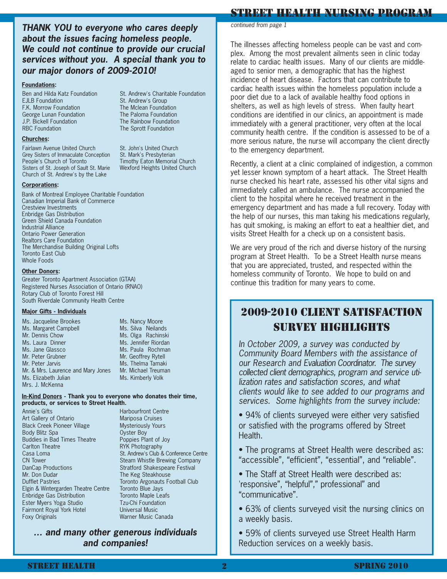**THANK YOU to everyone who cares deeply about the issues facing homeless people. We could not continue to provide our crucial services without you. A special thank you to our major donors of 2009-2010!**

St. Andrew's Charitable Foundation

St. Andrew's Group The Mclean Foundation The Paloma Foundation The Rainbow Foundation The Sprott Foundation

St. John's United Church St. Mark's Presbyterian Timothy Eaton Memorial Church Wexford Heights United Church

#### **Foundations:**

Ben and Hilda Katz Foundation EJLB Foundation F.K. Morrow Foundation George Lunan Foundation J.P. Bickell Foundation RBC Foundation

#### **Churches:**

Fairlawn Avenue United Church Grey Sisters of Immaculate Conception People's Church of Toronto Sisters of St. Joseph of Sault St. Marie Church of St. Andrew's by the Lake

#### **Corporations:**

Bank of Montreal Employee Charitable Foundation Canadian Imperial Bank of Commerce Crestview Investments Enbridge Gas Distribution Green Shield Canada Foundation Industrial Alliance Ontario Power Generation Realtors Care Foundation The Merchandise Building Original Lofts Toronto East Club Whole Foods

#### **Other Donors:**

Greater Toronto Apartment Association (GTAA) Registered Nurses Association of Ontario (RNAO) Rotary Club of Toronto Forest Hill South Riverdale Community Health Centre

#### **Major Gifts - Individuals**

Ms. Jacqueline Brookes Ms. Margaret Campbell Mr. Dennis Chow Ms. Laura Dinner Ms. Jane Glassco Mr. Peter Grubner Mr. Peter Jarvis Mr. & Mrs. Laurence and Mary Jones Ms. Elizabeth Julian Mrs. J. McKenna

Ms. Silva Neilands Ms. Olga Rachinski Ms. Jennifer Riordan Ms. Paula Rochman Mr. Geoffrey Rytell Ms. Thelma Tamaki Mr. Michael Treuman Ms. Kimberly Volk

Ms. Nancy Moore

#### **In-Kind Donors - Thank you to everyone who donates their time, products, or services to Street Health.**

Annie's Gifts Art Gallery of Ontario Black Creek Pioneer Village Body Blitz Spa Buddies in Bad Times Theatre Carlton Theatre Casa Loma CN Tower DanCap Productions Mr. Don Dudar Dufflet Pastries Elgin & Wintergarden Theatre Centre Enbridge Gas Distribution Ester Myers Yoga Studio Fairmont Royal York Hotel Foxy Originals

Harbourfront Centre Mariposa Cruises Mysteriously Yours Oyster Boy Poppies Plant of Joy RYK Photography St. Andrew's Club & Conference Centre Steam Whistle Brewing Company Stratford Shakespeare Festival The Keg Steakhouse Toronto Argonauts Football Club Toronto Blue Jays Toronto Maple Leafs Tzu-Chi Foundation Universal Music Warner Music Canada

## **… and many other generous individuals and companies!**

#### STREET HEALTH NURSING PROGRAM

continued from page 1

The illnesses affecting homeless people can be vast and complex. Among the most prevalent ailments seen in clinic today relate to cardiac health issues. Many of our clients are middleaged to senior men, a demographic that has the highest incidence of heart disease. Factors that can contribute to cardiac health issues within the homeless population include a poor diet due to a lack of available healthy food options in shelters, as well as high levels of stress. When faulty heart conditions are identified in our clinics, an appointment is made immediately with a general practitioner, very often at the local community health centre. If the condition is assessed to be of a more serious nature, the nurse will accompany the client directly to the emergency department.

Recently, a client at a clinic complained of indigestion, a common yet lesser known symptom of a heart attack. The Street Health nurse checked his heart rate, assessed his other vital signs and immediately called an ambulance. The nurse accompanied the client to the hospital where he received treatment in the emergency department and has made a full recovery. Today with the help of our nurses, this man taking his medications regularly, has quit smoking, is making an effort to eat a healthier diet, and visits Street Health for a check up on a consistent basis.

We are very proud of the rich and diverse history of the nursing program at Street Health. To be a Street Health nurse means that you are appreciated, trusted, and respected within the homeless community of Toronto. We hope to build on and continue this tradition for many years to come.

# 2009-2010 CLIENT SATISFACTION SURVEY HIGHLIGHTS

In October 2009, a survey was conducted by Community Board Members with the assistance of our Research and Evaluation Coordinator. The survey collected client demographics, program and service utilization rates and satisfaction scores, and what clients would like to see added to our programs and services. Some highlights from the survey include:

• 94% of clients surveyed were either very satisfied or satisfied with the programs offered by Street Health.

• The programs at Street Health were described as: "accessible", "efficient", "essential", and "reliable".

• The Staff at Street Health were described as: 'responsive", "helpful"," professional" and "communicative".

• 63% of clients surveyed visit the nursing clinics on a weekly basis.

• 59% of clients surveyed use Street Health Harm Reduction services on a weekly basis.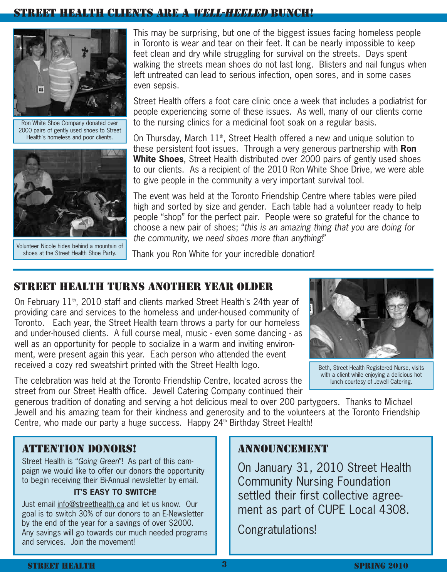## CLIENTS ARE A *WELL-HEELED* BUNCH!



Ron White Shoe Company donated over 2000 pairs of gently used shoes to Street Health's homeless and poor clients.



Volunteer Nicole hides behind a mountain of shoes at the Street Health Shoe Party.

This may be surprising, but one of the biggest issues facing homeless people in Toronto is wear and tear on their feet. It can be nearly impossible to keep feet clean and dry while struggling for survival on the streets. Days spent walking the streets mean shoes do not last long. Blisters and nail fungus when left untreated can lead to serious infection, open sores, and in some cases even sepsis.

Street Health offers a foot care clinic once a week that includes a podiatrist for people experiencing some of these issues. As well, many of our clients come to the nursing clinics for a medicinal foot soak on a regular basis.

On Thursday, March  $11<sup>th</sup>$ , Street Health offered a new and unique solution to these persistent foot issues. Through a very generous partnership with **Ron White Shoes**, Street Health distributed over 2000 pairs of gently used shoes to our clients. As a recipient of the 2010 Ron White Shoe Drive, we were able to give people in the community a very important survival tool.

The event was held at the Toronto Friendship Centre where tables were piled high and sorted by size and gender. Each table had a volunteer ready to help people "shop" for the perfect pair. People were so grateful for the chance to choose a new pair of shoes; "this is an amazing thing that you are doing for the community, we need shoes more than anything!"

Thank you Ron White for your incredible donation!

## STREET HEALTH TURNS ANOTHER YEAR OLDER

On February  $11<sup>th</sup>$ , 2010 staff and clients marked Street Health's 24th year of providing care and services to the homeless and under-housed community of Toronto. Each year, the Street Health team throws a party for our homeless and under-housed clients. A full course meal, music - even some dancing - as well as an opportunity for people to socialize in a warm and inviting environment, were present again this year. Each person who attended the event received a cozy red sweatshirt printed with the Street Health logo.



Beth, Street Health Registered Nurse, visits with a client while enjoying a delicious hot lunch courtesy of Jewell Catering.

The celebration was held at the Toronto Friendship Centre, located across the street from our Street Health office. Jewell Catering Company continued their

generous tradition of donating and serving a hot delicious meal to over 200 partygoers. Thanks to Michael Jewell and his amazing team for their kindness and generosity and to the volunteers at the Toronto Friendship Centre, who made our party a huge success. Happy 24<sup>th</sup> Birthday Street Health!

# ATTENTION DONORS!

Street Health is "Going Green"! As part of this campaign we would like to offer our donors the opportunity to begin receiving their Bi-Annual newsletter by email.

## **IT'S EASY TO SWITCH!**

Just email info@streethealth.ca and let us know. Our goal is to switch 30% of our donors to an E-Newsletter by the end of the year for a savings of over \$2000. Any savings will go towards our much needed programs and services. Join the movement!

# ANNOUNCEMENT

On January 31, 2010 Street Health Community Nursing Foundation settled their first collective agreement as part of CUPE Local 4308.

Congratulations!